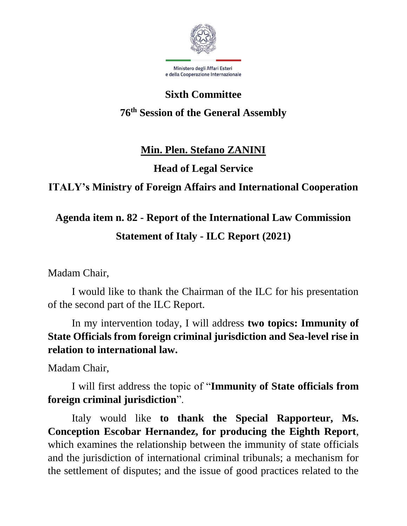

# **Sixth Committee**

### **76th Session of the General Assembly**

### **Min. Plen. Stefano ZANINI**

### **Head of Legal Service**

### **ITALY's Ministry of Foreign Affairs and International Cooperation**

# **Agenda item n. 82 - Report of the International Law Commission Statement of Italy - ILC Report (2021)**

Madam Chair,

I would like to thank the Chairman of the ILC for his presentation of the second part of the ILC Report.

In my intervention today, I will address **two topics: Immunity of State Officials from foreign criminal jurisdiction and Sea-level rise in relation to international law.**

Madam Chair,

I will first address the topic of "**Immunity of State officials from foreign criminal jurisdiction**".

Italy would like **to thank the Special Rapporteur, Ms. Conception Escobar Hernandez, for producing the Eighth Report**, which examines the relationship between the immunity of state officials and the jurisdiction of international criminal tribunals; a mechanism for the settlement of disputes; and the issue of good practices related to the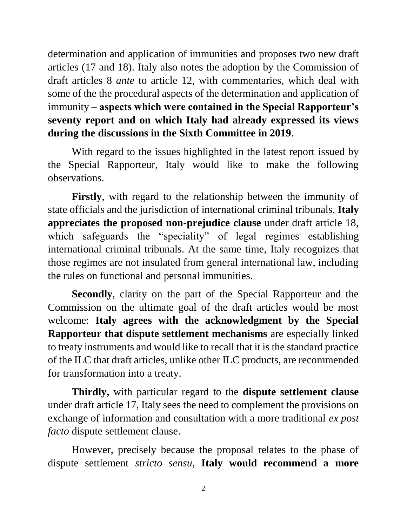determination and application of immunities and proposes two new draft articles (17 and 18). Italy also notes the adoption by the Commission of draft articles 8 *ante* to article 12, with commentaries, which deal with some of the the procedural aspects of the determination and application of immunity – **aspects which were contained in the Special Rapporteur's seventy report and on which Italy had already expressed its views during the discussions in the Sixth Committee in 2019**.

With regard to the issues highlighted in the latest report issued by the Special Rapporteur, Italy would like to make the following observations.

**Firstly**, with regard to the relationship between the immunity of state officials and the jurisdiction of international criminal tribunals, **Italy appreciates the proposed non-prejudice clause** under draft article 18, which safeguards the "speciality" of legal regimes establishing international criminal tribunals. At the same time, Italy recognizes that those regimes are not insulated from general international law, including the rules on functional and personal immunities.

**Secondly**, clarity on the part of the Special Rapporteur and the Commission on the ultimate goal of the draft articles would be most welcome: **Italy agrees with the acknowledgment by the Special Rapporteur that dispute settlement mechanisms** are especially linked to treaty instruments and would like to recall that it is the standard practice of the ILC that draft articles, unlike other ILC products, are recommended for transformation into a treaty.

**Thirdly,** with particular regard to the **dispute settlement clause** under draft article 17, Italy sees the need to complement the provisions on exchange of information and consultation with a more traditional *ex post facto* dispute settlement clause.

However, precisely because the proposal relates to the phase of dispute settlement *stricto sensu*, **Italy would recommend a more**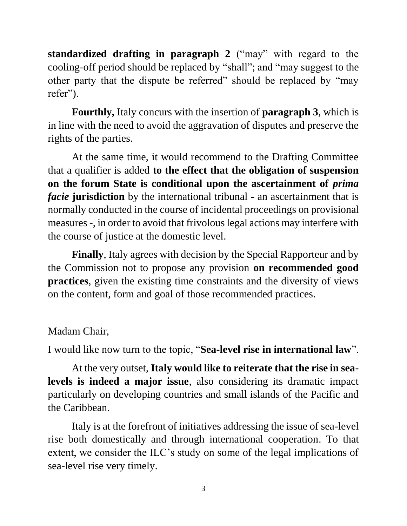**standardized drafting in paragraph 2** ("may" with regard to the cooling-off period should be replaced by "shall"; and "may suggest to the other party that the dispute be referred" should be replaced by "may refer").

**Fourthly,** Italy concurs with the insertion of **paragraph 3**, which is in line with the need to avoid the aggravation of disputes and preserve the rights of the parties.

At the same time, it would recommend to the Drafting Committee that a qualifier is added **to the effect that the obligation of suspension on the forum State is conditional upon the ascertainment of** *prima facie* jurisdiction by the international tribunal - an ascertainment that is normally conducted in the course of incidental proceedings on provisional measures -, in order to avoid that frivolous legal actions may interfere with the course of justice at the domestic level.

**Finally**, Italy agrees with decision by the Special Rapporteur and by the Commission not to propose any provision **on recommended good practices**, given the existing time constraints and the diversity of views on the content, form and goal of those recommended practices.

#### Madam Chair,

I would like now turn to the topic, "**Sea-level rise in international law**".

At the very outset, **Italy would like to reiterate that the rise in sealevels is indeed a major issue**, also considering its dramatic impact particularly on developing countries and small islands of the Pacific and the Caribbean.

Italy is at the forefront of initiatives addressing the issue of sea-level rise both domestically and through international cooperation. To that extent, we consider the ILC's study on some of the legal implications of sea-level rise very timely.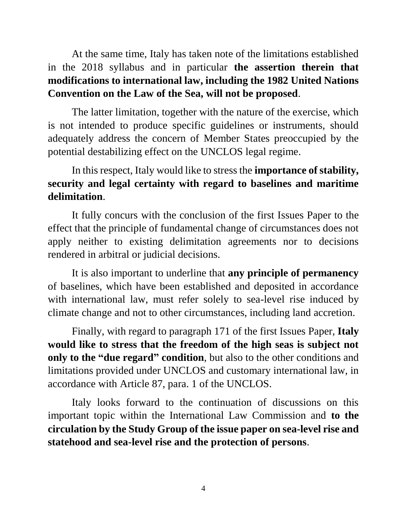At the same time, Italy has taken note of the limitations established in the 2018 syllabus and in particular **the assertion therein that modifications to international law, including the 1982 United Nations Convention on the Law of the Sea, will not be proposed**.

The latter limitation, together with the nature of the exercise, which is not intended to produce specific guidelines or instruments, should adequately address the concern of Member States preoccupied by the potential destabilizing effect on the UNCLOS legal regime.

#### In this respect, Italy would like to stress the **importance of stability, security and legal certainty with regard to baselines and maritime delimitation**.

It fully concurs with the conclusion of the first Issues Paper to the effect that the principle of fundamental change of circumstances does not apply neither to existing delimitation agreements nor to decisions rendered in arbitral or judicial decisions.

It is also important to underline that **any principle of permanency** of baselines, which have been established and deposited in accordance with international law, must refer solely to sea-level rise induced by climate change and not to other circumstances, including land accretion.

Finally, with regard to paragraph 171 of the first Issues Paper, **Italy would like to stress that the freedom of the high seas is subject not only to the "due regard" condition**, but also to the other conditions and limitations provided under UNCLOS and customary international law, in accordance with Article 87, para. 1 of the UNCLOS.

Italy looks forward to the continuation of discussions on this important topic within the International Law Commission and **to the circulation by the Study Group of the issue paper on sea-level rise and statehood and sea-level rise and the protection of persons**.